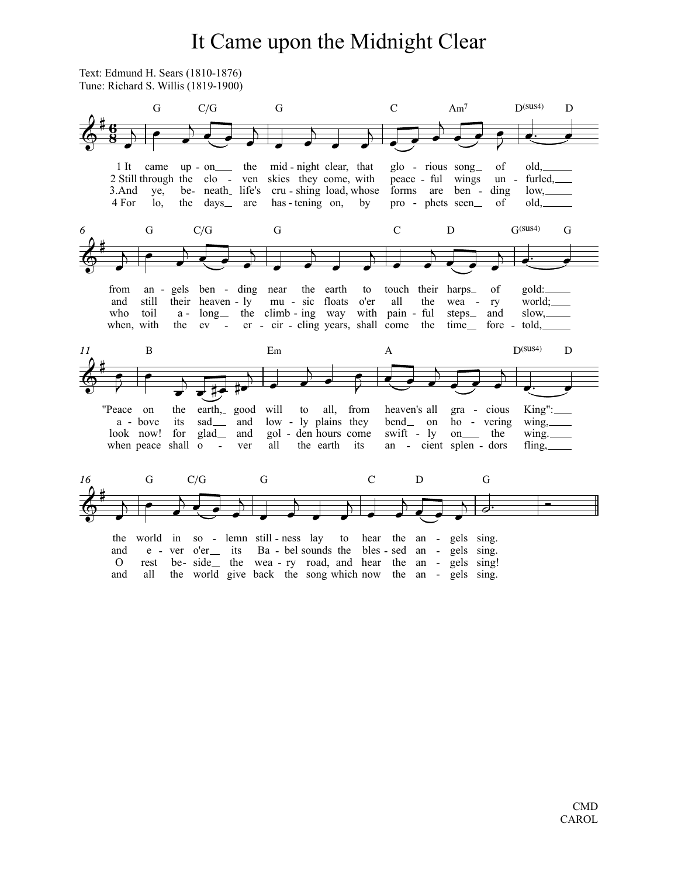## It Came upon the Midnight Clear

Text: Edmund H. Sears (1810-1876) Tune: Richard S. Willis (1819-1900)